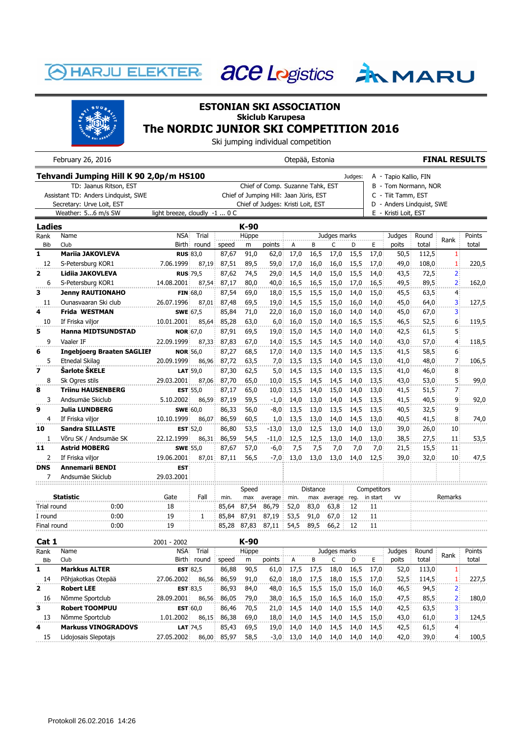## **HARJU ELEKTER**





## **ESTONIAN SKI ASSOCIATION Skiclub Karupesa The NORDIC JUNIOR SKI COMPETITION 2016**

Ski jumping individual competition

|                                     | February 26, 2016                       | Otepää, Estonia                          |                 |       |       |                                        |                      |                      |              |         |                           | <b>FINAL RESULTS</b>  |       |                   |        |  |
|-------------------------------------|-----------------------------------------|------------------------------------------|-----------------|-------|-------|----------------------------------------|----------------------|----------------------|--------------|---------|---------------------------|-----------------------|-------|-------------------|--------|--|
|                                     | Tehvandi Jumping Hill K 90 2,0p/m HS100 |                                          |                 |       |       |                                        |                      |                      |              | Judges: |                           | A - Tapio Kallio, FIN |       |                   |        |  |
| TD: Jaanus Ritson, EST              |                                         |                                          |                 |       |       | Chief of Comp. Suzanne Tahk, EST       |                      | B - Tom Normann, NOR |              |         |                           |                       |       |                   |        |  |
| Assistant TD: Anders Lindquist, SWE |                                         |                                          |                 |       |       | Chief of Jumping Hill: Jaan Jüris, EST |                      |                      |              |         | C - Tiit Tamm, EST        |                       |       |                   |        |  |
| Secretary: Urve Loit, EST           |                                         |                                          |                 |       |       | Chief of Judges: Kristi Loit, EST      |                      |                      |              |         | D - Anders Lindquist, SWE |                       |       |                   |        |  |
|                                     | Weather: 56 m/s SW                      | light breeze, cloudly $-1$ $0 \text{ C}$ |                 |       |       |                                        | E - Kristi Loit, EST |                      |              |         |                           |                       |       |                   |        |  |
| <b>Ladies</b>                       |                                         | K-90                                     |                 |       |       |                                        |                      |                      |              |         |                           |                       |       |                   |        |  |
| Rank                                | Name                                    | <b>NSA</b>                               | Trial           |       | Hüppe |                                        |                      |                      | Judges marks |         |                           | Judges                | Round | Rank              | Points |  |
| <b>Bib</b>                          | Club                                    | <b>Birth</b>                             | round           | speed | m     | points                                 | А                    | B                    | C            | D       | E                         | poits                 | total |                   | total  |  |
| 1                                   | <b>Mariia JAKOVLEVA</b>                 | <b>RUS 83,0</b>                          |                 | 87,67 | 91,0  | 62,0                                   | 17,0                 | 16,5                 | 17,0         | 15,5    | 17,0                      | 50,5                  | 112,5 | 1.                |        |  |
| 12                                  | S-Petersburg KOR1                       | 7.06.1999                                | 87,19           | 87,51 | 89,5  | 59,0                                   | 17,0                 | 16,0                 | 16,0         | 15,5    | 17,0                      | 49,0                  | 108,0 | $\mathbf{1}$      | 220,5  |  |
| 2                                   | Lidiia JAKOVLEVA                        | <b>RUS</b> :79,5                         |                 | 87,62 | 74,5  | 29,0                                   | 14,5                 | 14,0                 | 15,0         | 15,5    | 14,0                      | 43,5                  | 72,5  | $2^{\circ}$       |        |  |
| 6                                   | S-Petersburg KOR1                       | 14.08.2001                               | 87.54           | 87,17 | 80.0  | 40,0                                   | 16,5                 | 16,5                 | 15,0         | 17.0    | 16,5                      | 49,5                  | 89,5  | $\mathbf{2}$      | 162,0  |  |
| 3                                   | <b>Jenny RAUTIONAHO</b>                 |                                          | FIN 68,0        | 87,54 | 69,0  | 18,0                                   | 15,5                 | 15,5                 | 15,0         | 14,0    | 15,0                      | 45,5                  | 63,5  | 4 <sup>1</sup>    |        |  |
| 11                                  | Ounasvaaran Ski club                    | 26.07.1996                               | 87.01           | 87,48 | 69.5  | 19,0                                   | 14,5                 | 15,5                 | 15.0         | 16.0    | 14.0                      | 45,0                  | 64,0  | 3.                | 127,5  |  |
| 4                                   | Frida WESTMAN                           | <b>SWE</b> 67,5                          |                 | 85,84 | 71,0  | 22,0                                   | 16,0                 | 15,0                 | 16,0         | 14,0    | 14,0                      | 45,0                  | 67,0  | 3.                |        |  |
| 10                                  | If Friska viljor                        | 10.01.2001                               | 85,64           | 85,28 | 63,0  | 6,0.                                   | 16,0                 | 15,0                 | 14,0         | 16,5    | 15,5                      | 46,5                  | 52,5  | 6                 | 119,5  |  |
| 5                                   | <b>Hanna MIDTSUNDSTAD</b>               | <b>NOR 67,0</b>                          |                 | 87,91 | 69,5  | 19,0                                   | 15,0                 | 14,5                 | 14,0         | 14,0    | 14,0                      | 42,5                  | 61,5  | 5.                |        |  |
| 9                                   | Vaaler IF                               | 22.09.1999                               | 87,33           | 87,83 | 67,0  | 14,0                                   | 15,5                 | 14,5                 | 14,5         | 14,0    | 14,0                      | 43,0                  | 57,0  | $4^{\frac{1}{2}}$ | 118,5  |  |
| 6                                   | <b>Ingebjoerg Braaten SAGLIEI</b>       | <b>NOR</b> 56,0                          |                 | 87,27 | 68,5  | 17,0                                   | 14,0                 | 13,5                 | 14,0         | 14,5    | 13,5                      | 41,5                  | 58,5  | 6.                |        |  |
| 5                                   | Etnedal Skilag                          | 20.09.1999                               | 86,96           | 87,72 | 63,5  | 7,0                                    | 13,5                 | 13,5                 | 14,0         | 14,5    | 13,0                      | 41,0                  | 48,0  | 7 <sup>1</sup>    | 106,5  |  |
| 7                                   | Šarlote ŠKELE                           |                                          | $LAT$ :59,0     | 87,30 | 62,5  | 5,0                                    | 14,5                 | 13,5                 | 14,0         | 13,5    | 13,5                      | 41,0                  | 46,0  | 8                 |        |  |
| 8                                   | Sk Ogres stils                          | 29.03.2001                               | 87,06           | 87,70 | 65,0  | 10,0                                   | 15,5                 | 14,5                 | 14,5         | 14.0    | $13.5^{\circ}$            | 43,0                  | 53,0  | 5.                | 99,0   |  |
| 8                                   | <b>Triinu HAUSENBERG</b>                |                                          | EST $55,0$      | 87,17 | 65,0  | 10,0                                   | 13,5                 | 14,0                 | 15,0         | 14,0    | 13,0                      | 41,5                  | 51,5  | 7.                |        |  |
| 3                                   | Andsumäe Skiclub                        | 5.10.2002                                | 86,59           | 87,19 | 59,5  | $-1,0$                                 | 14,0                 | 13,0                 | 14,0         | 14,5    | 13,5                      | 41,5                  | 40,5  | ٩i                | 92,0   |  |
| 9                                   | <b>Julia LUNDBERG</b>                   | <b>SWE</b> 60,0                          |                 | 86,33 | 56,0  | $-8,0$                                 | 13,5                 | 13,0                 | 13,5         | 14,5    | 13,5                      | 40,5                  | 32,5  | 9                 |        |  |
| 4                                   | If Friska viljor                        | 10.10.1999                               | 86,07           | 86,59 | 60,5  | 1,0                                    | 13,5                 | 13,0                 | 14,0         | 14,5    | 13,0                      | 40,5                  | 41,5  | 8                 | 74,0   |  |
| 10                                  | Sandra SILLASTE                         |                                          | <b>EST</b> 52,0 | 86,80 | 53,5  | $-13,0$                                | 13,0                 | 12,5                 | 13,0         | 14,0    | $13,0^-$                  | 39,0                  | 26,0  | $10^{\circ}$      |        |  |
| $\mathbf{1}$                        | Võru SK / Andsumäe SK                   | 22.12.1999                               | 86,31           | 86,59 | 54,5  | $-11,0$                                | 12,5                 | 12,5                 | 13,0         | 14,0    | 13,0                      | 38,5                  | 27,5  | 11                | 53,5   |  |
| 11                                  | <b>Astrid MOBERG</b>                    | <b>SWE</b> :55,0                         |                 | 87,67 | 57,0  | $-6,0$                                 | 7,5                  | 7,5                  | 7,0          | 7,0     | 7,0                       | 21,5                  | 15,5  | 11 <sup>1</sup>   |        |  |
| $\overline{2}$                      | If Friska viljor                        | 19.06.2001                               | 87,01           | 87,11 | 56,5  | $-7,0$                                 | 13,0                 | 13,0                 | 13,0         | 14,0    | 12,5                      | 39,0                  | 32,0  | 10                | 47,5   |  |
| <b>DNS</b>                          | <b>Annemarii BENDI</b>                  | <b>EST</b>                               |                 |       |       |                                        |                      |                      |              |         |                           |                       |       |                   |        |  |
| 7                                   | Andsumäe Skiclub                        | 29.03.2001                               |                 |       |       |                                        |                      |                      |              |         |                           |                       |       |                   |        |  |
|                                     |                                         |                                          |                 |       | Speed |                                        |                      | Distance             |              |         | Competitors               |                       |       |                   |        |  |
| <b>Statistic</b>                    |                                         | Gate                                     | Fall            | min.  | max   | average                                | min.                 |                      | max average  | reg.    | in start                  | <b>VV</b>             |       | Remarks           |        |  |
| Trial round                         | .<br>0:00                               | 18                                       |                 | 85,64 | 87,54 | 86,79                                  | 52,0                 | 83,0                 | 63,8         | 12      | 11                        |                       |       |                   |        |  |
| I round                             | 0:00                                    | 19                                       | 1               | 85,84 | 87,91 | 87,19                                  | 53,5                 | 91,0                 | 67,0         | 12      | 11                        |                       |       |                   |        |  |
| Final round                         | 0:00                                    | 19                                       |                 | 85,28 | 87,83 | 87,11                                  | 54,5                 | 89,5                 | 66,2         | 12      | 11                        |                       |       |                   |        |  |
|                                     |                                         |                                          |                 |       | הה זו |                                        |                      |                      |              |         |                           |                       |       |                   |        |  |

| Cat 1        |                            | $2001 - 2002$ |                     |       | K-90  |        |      |      |              |      |                |        |       |      |        |
|--------------|----------------------------|---------------|---------------------|-------|-------|--------|------|------|--------------|------|----------------|--------|-------|------|--------|
| Rank         | Name                       | NSA           | Trial               |       | Hüppe |        |      |      | Judges marks |      |                | Judges | Round | Rank | Points |
| Bib          | Club                       | <b>Birth</b>  | round               | speed | m     | points | A    | в    |              | D    | E.             | poits  | total |      | total  |
| ı            | <b>Markkus ALTER</b>       |               | <b>EST 82.5</b>     | 86,88 | 90,5  | 61,0   | 17,5 | 17.5 | 18,0         | 16,5 | 17.0           | 52,0   | 113,0 |      |        |
| 14           | Põhjakotkas Otepää         | 27.06.2002    | 86,56               | 86,59 | 91,0  | 62,0   | 18.0 | 17.5 | 18.0         | 15,5 | 17.0           | 52,5   | 114,5 |      | 227,5  |
| $\mathbf{2}$ | <b>Robert LEE</b>          |               | <b>EST 83.5</b>     | 86,93 | 84,0  | 48,0   | 16,5 | 15,5 | 15.0         | 15,0 | 16.0           | 46,5   | 94,5  |      |        |
| 16           | Nõmme Sportclub            | 28.09.2001    | 86.56               | 86.05 | 79.0  | 38,0   | 16,5 | 15,0 | 16.5         | 16.0 | 15.0           | 47,5   | 85,5  |      | 180,0  |
| 3            | <b>Robert TOOMPUU</b>      |               | EST <sub>60.0</sub> | 86,46 | 70,5  | 21.0   | 14,5 | 14.0 | 14,0         | 15,5 | 14.0           | 42,5   | 63,5  | 3.   |        |
| 13           | Nõmme Sportclub            | 1.01.2002     | 86.15               | 86,38 | 69,0  | 18,0   | 14.0 | 14,5 | 14.0         | 14,5 | 15,0           | 43,0   | 61,0  | 31   | 124.5  |
| 4            | <b>Markuss VINOGRADOVS</b> |               | <b>LAT 74.5</b>     | 85,43 | 69,5  | 19.0   | 14.0 | 14.0 | 14,5         | 14.0 | $14.5^{\circ}$ | 42,5   | 61,5  |      |        |
| 15           | Lidojosais Slepotajs       | 27.05.2002    | 86,00               | 85,97 | 58,5  | $-3,0$ | 13.0 | 14.0 | 14.0         | 14.0 | 14.0           | 42,0   | 39,0  | 4.   | 100,5  |